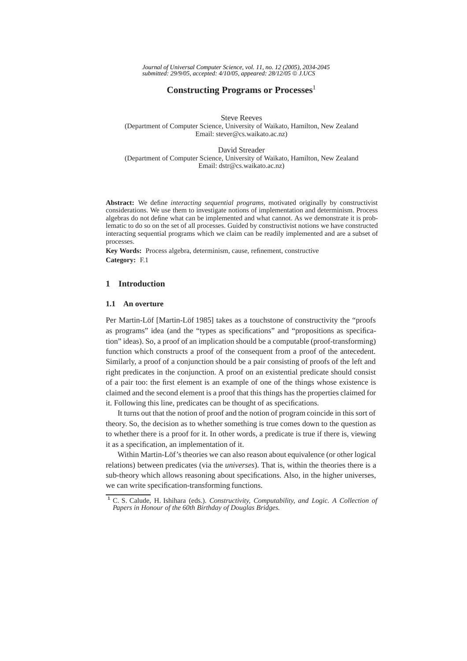*Journal of Universal Computer Science, vol. 11, no. 12 (2005), 2034-2045 submitted: 29/9/05, accepted: 4/10/05, appeared: 28/12/05* © *J.UCS*

# **Constructing Programs or Processes**<sup>1</sup>

Steve Reeves (Department of Computer Science, University of Waikato, Hamilton, New Zealand Email: stever@cs.waikato.ac.nz)

David Streader (Department of Computer Science, University of Waikato, Hamilton, New Zealand Email: dstr@cs.waikato.ac.nz)

**Abstract:** We define *interacting sequential programs*, motivated originally by constructivist considerations. We use them to investigate notions of implementation and determinism. Process algebras do not define what can be implemented and what cannot. As we demonstrate it is problematic to do so on the set of all processes. Guided by constructivist notions we have constructed interacting sequential programs which we claim can be readily implemented and are a subset of processes.

**Key Words:** Process algebra, determinism, cause, refinement, constructive **Category:** F.1

### **1 Introduction**

# **1.1 An overture**

Per Martin-Löf [Martin-Löf 1985] takes as a touchstone of constructivity the "proofs as programs" idea (and the "types as specifications" and "propositions as specification" ideas). So, a proof of an implication should be a computable (proof-transforming) function which constructs a proof of the consequent from a proof of the antecedent. Similarly, a proof of a conjunction should be a pair consisting of proofs of the left and right predicates in the conjunction. A proof on an existential predicate should consist of a pair too: the first element is an example of one of the things whose existence is claimed and the second element is a proof that this things has the properties claimed for it. Following this line, predicates can be thought of as specifications.

It turns out that the notion of proof and the notion of program coincide in this sort of theory. So, the decision as to whether something is true comes down to the question as to whether there is a proof for it. In other words, a predicate is true if there is, viewing it as a specification, an implementation of it.

Within Martin-Löf's theories we can also reason about equivalence (or other logical relations) between predicates (via the *universes*). That is, within the theories there is a sub-theory which allows reasoning about specifications. Also, in the higher universes, we can write specification-transforming functions.

**<sup>1</sup>** C. S. Calude, H. Ishihara (eds.). *Constructivity, Computability, and Logic. A Collection of Papers in Honour of the 60th Birthday of Douglas Bridges.*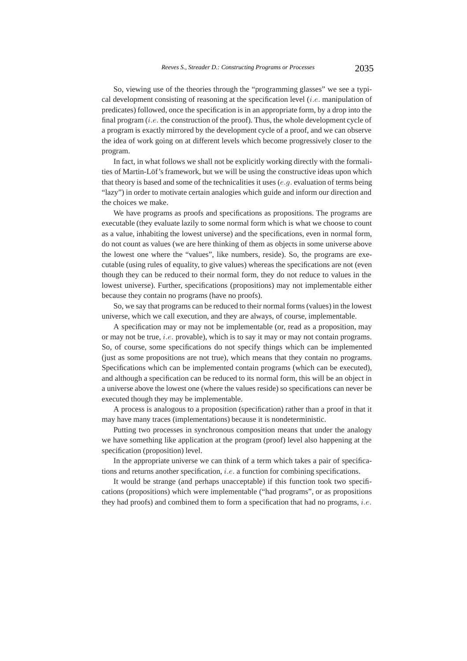So, viewing use of the theories through the "programming glasses" we see a typical development consisting of reasoning at the specification level  $(i.e.$  manipulation of predicates) followed, once the specification is in an appropriate form, by a drop into the final program  $(i.e.$  the construction of the proof). Thus, the whole development cycle of a program is exactly mirrored by the development cycle of a proof, and we can observe the idea of work going on at different levels which become progressively closer to the program.

In fact, in what follows we shall not be explicitly working directly with the formalities of Martin-Löf's framework, but we will be using the constructive ideas upon which that theory is based and some of the technicalities it uses  $(e,q)$ , evaluation of terms being "lazy") in order to motivate certain analogies which guide and inform our direction and the choices we make.

We have programs as proofs and specifications as propositions. The programs are executable (they evaluate lazily to some normal form which is what we choose to count as a value, inhabiting the lowest universe) and the specifications, even in normal form, do not count as values (we are here thinking of them as objects in some universe above the lowest one where the "values", like numbers, reside). So, the programs are executable (using rules of equality, to give values) whereas the specifications are not (even though they can be reduced to their normal form, they do not reduce to values in the lowest universe). Further, specifications (propositions) may not implementable either because they contain no programs (have no proofs).

So, we say that programs can be reduced to their normal forms (values) in the lowest universe, which we call execution, and they are always, of course, implementable.

A specification may or may not be implementable (or, read as a proposition, may or may not be true, i.e. provable), which is to say it may or may not contain programs. So, of course, some specifications do not specify things which can be implemented (just as some propositions are not true), which means that they contain no programs. Specifications which can be implemented contain programs (which can be executed), and although a specification can be reduced to its normal form, this will be an object in a universe above the lowest one (where the values reside) so specifications can never be executed though they may be implementable.

A process is analogous to a proposition (specification) rather than a proof in that it may have many traces (implementations) because it is nondeterministic.

Putting two processes in synchronous composition means that under the analogy we have something like application at the program (proof) level also happening at the specification (proposition) level.

In the appropriate universe we can think of a term which takes a pair of specifications and returns another specification, i.e. a function for combining specifications.

It would be strange (and perhaps unacceptable) if this function took two specifications (propositions) which were implementable ("had programs", or as propositions they had proofs) and combined them to form a specification that had no programs, *i.e.*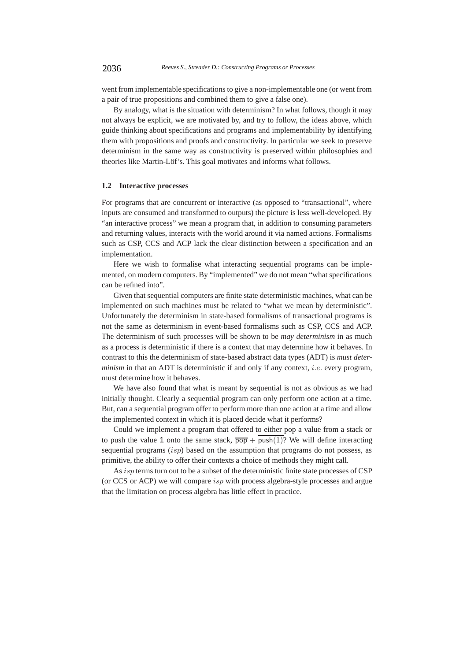went from implementable specifications to give a non-implementable one (or went from a pair of true propositions and combined them to give a false one).

By analogy, what is the situation with determinism? In what follows, though it may not always be explicit, we are motivated by, and try to follow, the ideas above, which guide thinking about specifications and programs and implementability by identifying them with propositions and proofs and constructivity. In particular we seek to preserve determinism in the same way as constructivity is preserved within philosophies and theories like Martin-Löf's. This goal motivates and informs what follows.

# **1.2 Interactive processes**

For programs that are concurrent or interactive (as opposed to "transactional", where inputs are consumed and transformed to outputs) the picture is less well-developed. By "an interactive process" we mean a program that, in addition to consuming parameters and returning values, interacts with the world around it via named actions. Formalisms such as CSP, CCS and ACP lack the clear distinction between a specification and an implementation.

Here we wish to formalise what interacting sequential programs can be implemented, on modern computers. By "implemented" we do not mean "what specifications can be refined into".

Given that sequential computers are finite state deterministic machines, what can be implemented on such machines must be related to "what we mean by deterministic". Unfortunately the determinism in state-based formalisms of transactional programs is not the same as determinism in event-based formalisms such as CSP, CCS and ACP. The determinism of such processes will be shown to be *may determinism* in as much as a process is deterministic if there is a context that may determine how it behaves. In contrast to this the determinism of state-based abstract data types (ADT) is *must determinism* in that an ADT is deterministic if and only if any context, *i.e.* every program, must determine how it behaves.

We have also found that what is meant by sequential is not as obvious as we had initially thought. Clearly a sequential program can only perform one action at a time. But, can a sequential program offer to perform more than one action at a time and allow the implemented context in which it is placed decide what it performs?

Could we implement a program that offered to either pop a value from a stack or to push the value 1 onto the same stack,  $\overline{pop}$  + push(1)? We will define interacting sequential programs  $(isp)$  based on the assumption that programs do not possess, as primitive, the ability to offer their contexts a choice of methods they might call.

As *isp* terms turn out to be a subset of the deterministic finite state processes of CSP (or CCS or ACP) we will compare isp with process algebra-style processes and argue that the limitation on process algebra has little effect in practice.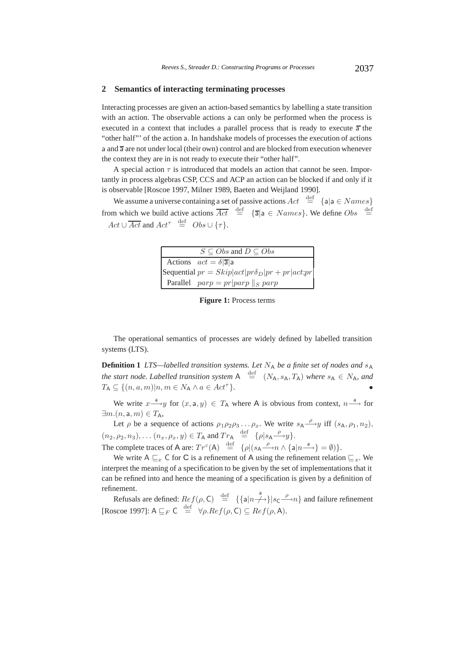#### **2 Semantics of interacting terminating processes**

Interacting processes are given an action-based semantics by labelling a state transition with an action. The observable actions a can only be performed when the process is executed in a context that includes a parallel process that is ready to execute  $\overline{a}$  the "other half"' of the action a. In handshake models of processes the execution of actions a and  $\overline{a}$  are not under local (their own) control and are blocked from execution whenever the context they are in is not ready to execute their "other half".

A special action  $\tau$  is introduced that models an action that cannot be seen. Importantly in process algebras CSP, CCS and ACP an action can be blocked if and only if it is observable [Roscoe 1997, Milner 1989, Baeten and Weijland 1990].

We assume a universe containing a set of passive actions  $Act \stackrel{\text{def}}{=} \{a | a \in Names\}$ from which we build active actions  $\overline{Act} \stackrel{\text{def}}{=} {\overline{\text{a}} \mid \text{a} \in Names}$ . We define  $Obs \stackrel{\text{def}}{=}$  $Act \cup \overline{Act}$  and  $Act^{\tau} \stackrel{\text{def}}{=} Obs \cup {\tau}.$ 

| $S \subseteq Obs$ and $D \subseteq Obs$ |                                                       |  |
|-----------------------------------------|-------------------------------------------------------|--|
|                                         | Actions $act = \delta  \overline{a} $ a               |  |
|                                         | Sequential $pr = Skip act pr\delta_D pr + pr act;pr $ |  |
|                                         | Parallel $parp = pr parp   _S parp$                   |  |

**Figure 1:** Process terms

The operational semantics of processes are widely defined by labelled transition systems (LTS).

**Definition 1** *LTS—labelled transition systems. Let*  $N_A$  *be a finite set of nodes and*  $s_A$ *the start node. Labelled transition system*  $A \stackrel{\text{def}}{=} (N_A, s_A, T_A)$  *where*  $s_A \in N_A$ *, and*  $T_A \subseteq \{(n, a, m)|n, m \in N_A \land a \in Act^{\tau}\}.$ 

We write  $x \stackrel{a}{\longrightarrow} y$  for  $(x, a, y) \in T_A$  where A is obvious from context,  $n \stackrel{a}{\longrightarrow}$  for  $\exists m.(n, \mathsf{a}, m) \in T_{\mathsf{A}},$ 

Let  $\rho$  be a sequence of actions  $\rho_1 \rho_2 \rho_3 \ldots \rho_x$ . We write  $s_A \stackrel{\rho}{\longrightarrow} y$  iff  $(s_A, \rho_1, n_2)$ ,  $(n_2, \rho_2, n_3), \ldots (n_x, \rho_x, y) \in T_A$  and  $Tr_A \stackrel{\text{def}}{=} {\rho |s_A \stackrel{\rho}{\longrightarrow} y}.$ The complete traces of A are:  $Tr^c(A) \stackrel{\text{def}}{=} {\rho | (s_A \stackrel{\rho}{\longrightarrow} n \wedge \{a | n \stackrel{a}{\longrightarrow}\} = \emptyset )}.$ 

We write A  $\sqsubseteq_x$  C for C is a refinement of A using the refinement relation  $\sqsubseteq_x$ . We interpret the meaning of a specification to be given by the set of implementations that it can be refined into and hence the meaning of a specification is given by a definition of refinement.

Refusals are defined:  $Ref(\rho, C) \stackrel{\text{def}}{=} {\{a | n \rightarrow\} | s_C \stackrel{a}{\longrightarrow} n\}$  and failure refinement [Roscoe 1997]:  $A \sqsubseteq_F \mathsf{C} \stackrel{\text{def}}{=} \forall \rho \cdot Ref(\rho, \mathsf{C}) \subseteq Ref(\rho, \mathsf{A})$ .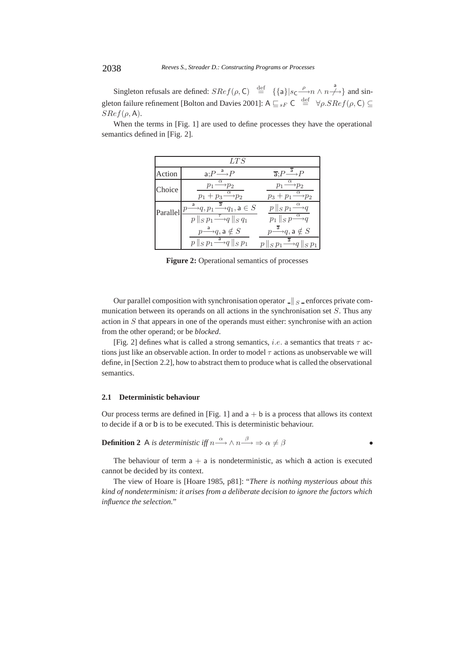Singleton refusals are defined:  $SRef(\rho, C) \stackrel{\text{def}}{=} {\{a\}|s_C \xrightarrow{\rho} n \wedge n \xrightarrow{a} \}$  and singleton failure refinement [Bolton and Davies 2001]:  $A \sqsubseteq_{sF} C \stackrel{\text{def}}{=} \forall \rho \cdot SRef(\rho, C) \subseteq$  $SRef(\rho, A)$ .

| LTS      |                                                                                                                                                                                                                    |                                                                                                                      |  |
|----------|--------------------------------------------------------------------------------------------------------------------------------------------------------------------------------------------------------------------|----------------------------------------------------------------------------------------------------------------------|--|
| Action   | $a: P \xrightarrow{a} P$                                                                                                                                                                                           | $\overline{a}$ : $P \stackrel{\overline{a}}{\longrightarrow} P$                                                      |  |
| Choice   | $\alpha$<br>$\rightarrow p_2$<br>$p_1$ —<br>$p_1 + p_3 \xrightarrow{\alpha} p_2$                                                                                                                                   | $\alpha$<br>$p_1 \longrightarrow p_2$<br>$p_3+p_1 \stackrel{\alpha}{\longrightarrow} p_2$                            |  |
| Parallel | $\stackrel{\mathsf{a}}{\longrightarrow} q, p_1 \stackrel{\overline{\mathsf{a}}}{\longrightarrow} q_1, \mathsf{a} \in S$<br>$\mathcal{D}$<br>$p \parallel_S p_1 \stackrel{\tau}{\longrightarrow} q \parallel_S q_1$ | $p \parallel_S p_1 \stackrel{\alpha}{\longrightarrow} q$<br>$p_1 \parallel_S p \stackrel{\alpha}{\longrightarrow} q$ |  |
|          | $p \stackrel{\mathsf{a}}{\longrightarrow} q, \mathsf{a} \notin S$                                                                                                                                                  | $p \overset{\overline{\mathsf{a}}}{\longrightarrow} q, \mathsf{a} \notin S$                                          |  |
|          | $p \parallel_S p_1 \stackrel{a}{\longrightarrow} q \parallel_S \overline{p_1}$                                                                                                                                     | $p \parallel_S p_1 \stackrel{\overline{a}}{\longrightarrow} q \parallel_S p_1$                                       |  |

When the terms in [Fig. 1] are used to define processes they have the operational semantics defined in [Fig. 2].

**Figure 2:** Operational semantics of processes

Our parallel composition with synchronisation operator  $\|\cdot\|_S$  enforces private communication between its operands on all actions in the synchronisation set S. Thus any action in S that appears in one of the operands must either: synchronise with an action from the other operand; or be *blocked*.

[Fig. 2] defines what is called a strong semantics, *i.e.* a semantics that treats  $\tau$  actions just like an observable action. In order to model  $\tau$  actions as unobservable we will define, in [Section 2.2], how to abstract them to produce what is called the observational semantics.

#### **2.1 Deterministic behaviour**

Our process terms are defined in [Fig. 1] and  $a + b$  is a process that allows its context to decide if a or b is to be executed. This is deterministic behaviour.

**Definition 2** A is deterministic iff 
$$
n \xrightarrow{\alpha} \wedge n \xrightarrow{\beta} \Rightarrow \alpha \neq \beta
$$

The behaviour of term  $a + a$  is nondeterministic, as which a action is executed cannot be decided by its context.

The view of Hoare is [Hoare 1985, p81]: "*There is nothing mysterious about this kind of nondeterminism: it arises from a deliberate decision to ignore the factors which influence the selection.*"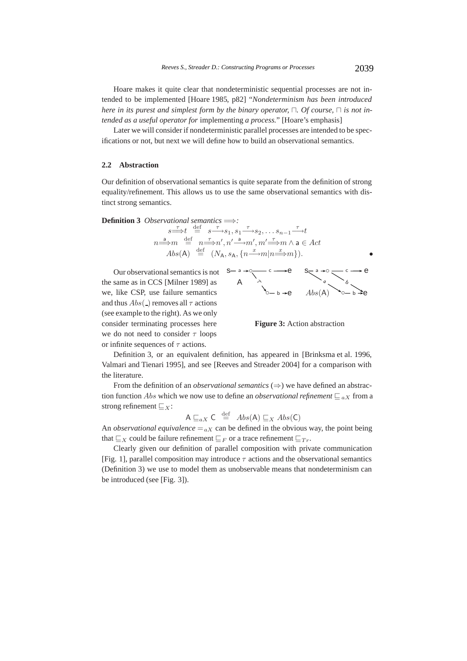Hoare makes it quite clear that nondeterministic sequential processes are not intended to be implemented [Hoare 1985, p82] "*Nondeterminism has been introduced here in its purest and simplest form by the binary operator,*  $\Box$ . *Of course,*  $\Box$  *is not intended as a useful operator for* implementing *a process.*" [Hoare's emphasis]

Later we will consider if nondeterministic parallel processes are intended to be specifications or not, but next we will define how to build an observational semantics.

#### **2.2 Abstraction**

Our definition of observational semantics is quite separate from the definition of strong equality/refinement. This allows us to use the same observational semantics with distinct strong semantics.

**Definition 3** Observational semantics 
$$
\Longrightarrow:
$$
  
\n $s \xrightarrow{\tau} t \stackrel{\text{def}}{=} s \xrightarrow{\tau} s_1, s_1 \xrightarrow{\tau} s_2, \dots s_{n-1} \xrightarrow{\tau} t$   
\n $n \xrightarrow{a} m \stackrel{\text{def}}{=} n \xrightarrow{\tau} n', n' \xrightarrow{a} m', m' \xrightarrow{\tau} m \wedge a \in Act$   
\n $Abs(A) \stackrel{\text{def}}{=} (N_A, s_A, \{n \xrightarrow{x} m | n \xrightarrow{x} m\}).$ 

Our observational semantics is not the same as in CCS [Milner 1989] as we, like CSP, use failure semantics and thus  $Abs(\_)$  removes all  $\tau$  actions (see example to the right). As we only consider terminating processes here we do not need to consider  $\tau$  loops or infinite sequences of  $\tau$  actions.



**Figure 3:** Action abstraction

Definition 3, or an equivalent definition, has appeared in [Brinksma et al. 1996, Valmari and Tienari 1995], and see [Reeves and Streader 2004] for a comparison with the literature.

From the definition of an *observational semantics* ( $\Rightarrow$ ) we have defined an abstraction function *Abs* which we now use to define an *observational refinement*  $\mathcal{L}_{aX}$  from a strong refinement  $\mathcal{L}_X$ :

$$
A \sqsubseteq_{aX} C \stackrel{\text{def}}{=} Abs(A) \sqsubseteq_X Abs(C)
$$

An *observational equivalence*  $=_{aX}$  can be defined in the obvious way, the point being that  $\sqsubseteq_X$  could be failure refinement  $\sqsubseteq_F$  or a trace refinement  $\sqsubseteq_{Tr}$ .

Clearly given our definition of parallel composition with private communication [Fig. 1], parallel composition may introduce  $\tau$  actions and the observational semantics (Definition 3) we use to model them as unobservable means that nondeterminism can be introduced (see [Fig. 3]).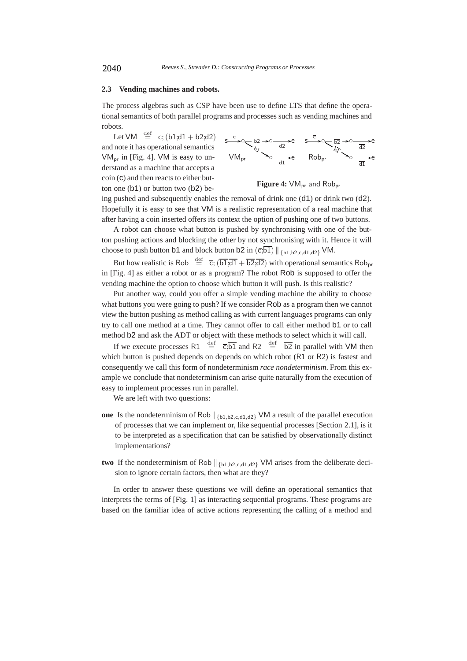#### **2.3 Vending machines and robots.**

The process algebras such as CSP have been use to define LTS that define the operational semantics of both parallel programs and processes such as vending machines and robots.

Let VM  $\stackrel{\text{def}}{=}$  c; (b1;d1 + b2;d2) and note it has operational semantics  $VM<sub>pr</sub>$  in [Fig. 4]. VM is easy to understand as a machine that accepts a coin (c) and then reacts to either button one (b1) or button two (b2) be-



Figure 4:  $VM<sub>pr</sub>$  and Rob<sub>pr</sub>

ing pushed and subsequently enables the removal of drink one (d1) or drink two (d2). Hopefully it is easy to see that VM is a realistic representation of a real machine that after having a coin inserted offers its context the option of pushing one of two buttons.

A robot can choose what button is pushed by synchronising with one of the button pushing actions and blocking the other by not synchronising with it. Hence it will choose to push button b1 and block button b2 in  $(\overline{c_5b1}) \parallel_{b1,b2,c,d1,d2}$  VM.

But how realistic is Rob  $\stackrel{\text{def}}{=} \overline{c}$ ;  $(\overline{b1};\overline{d1} + \overline{b2};\overline{d2})$  with operational semantics Rob<sub>pr</sub> in [Fig. 4] as either a robot or as a program? The robot Rob is supposed to offer the vending machine the option to choose which button it will push. Is this realistic?

Put another way, could you offer a simple vending machine the ability to choose what buttons you were going to push? If we consider Rob as a program then we cannot view the button pushing as method calling as with current languages programs can only try to call one method at a time. They cannot offer to call either method b1 or to call method b2 and ask the ADT or object with these methods to select which it will call.

If we execute processes R1  $\stackrel{\text{def}}{=} \overline{c}$ ;  $\overline{b1}$  and R2  $\stackrel{\text{def}}{=} \overline{b2}$  in parallel with VM then which button is pushed depends on depends on which robot (R1 or R2) is fastest and consequently we call this form of nondeterminism *race nondeterminism*. From this example we conclude that nondeterminism can arise quite naturally from the execution of easy to implement processes run in parallel.

We are left with two questions:

- **one** Is the nondeterminism of Rob  $\|_{\{b1,b2,c,d1,d2\}}$  VM a result of the parallel execution of processes that we can implement or, like sequential processes [Section 2.1], is it to be interpreted as a specification that can be satisfied by observationally distinct implementations?
- **two** If the nondeterminism of Rob  $\|$ <sub>{b1,b2,c,d1,d2}</sub> VM arises from the deliberate decision to ignore certain factors, then what are they?

In order to answer these questions we will define an operational semantics that interprets the terms of [Fig. 1] as interacting sequential programs. These programs are based on the familiar idea of active actions representing the calling of a method and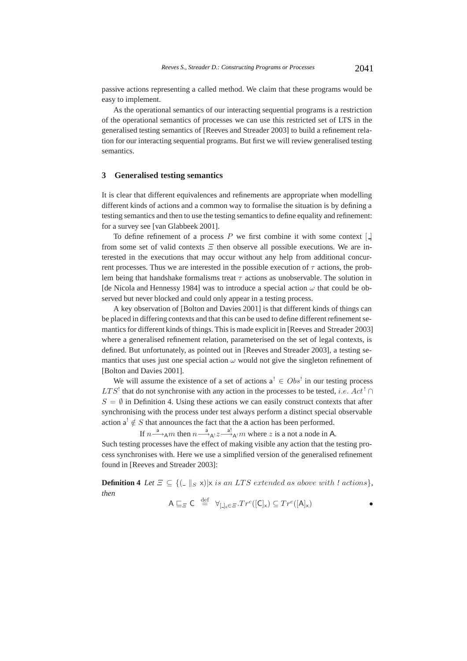passive actions representing a called method. We claim that these programs would be easy to implement.

As the operational semantics of our interacting sequential programs is a restriction of the operational semantics of processes we can use this restricted set of LTS in the generalised testing semantics of [Reeves and Streader 2003] to build a refinement relation for our interacting sequential programs. But first we will review generalised testing semantics.

### **3 Generalised testing semantics**

It is clear that different equivalences and refinements are appropriate when modelling different kinds of actions and a common way to formalise the situation is by defining a testing semantics and then to use the testing semantics to define equality and refinement: for a survey see [van Glabbeek 2001].

To define refinement of a process  $P$  we first combine it with some context  $\Box$ from some set of valid contexts  $E$  then observe all possible executions. We are interested in the executions that may occur without any help from additional concurrent processes. Thus we are interested in the possible execution of  $\tau$  actions, the problem being that handshake formalisms treat  $\tau$  actions as unobservable. The solution in [de Nicola and Hennessy 1984] was to introduce a special action  $\omega$  that could be observed but never blocked and could only appear in a testing process.

A key observation of [Bolton and Davies 2001] is that different kinds of things can be placed in differing contexts and that this can be used to define different refinement semantics for different kinds of things. This is made explicit in [Reeves and Streader 2003] where a generalised refinement relation, parameterised on the set of legal contexts, is defined. But unfortunately, as pointed out in [Reeves and Streader 2003], a testing semantics that uses just one special action  $\omega$  would not give the singleton refinement of [Bolton and Davies 2001].

We will assume the existence of a set of actions  $a^1 \in Obs^1$  in our testing process  $LTS'$  that do not synchronise with any action in the processes to be tested, *i.e.* Act<sup>!</sup> ∩  $S = \emptyset$  in Definition 4. Using these actions we can easily construct contexts that after synchronising with the process under test always perform a distinct special observable action  $a^{\dagger} \notin S$  that announces the fact that the a action has been performed.

If  $n \stackrel{a}{\longrightarrow}_A m$  then  $n \stackrel{a}{\longrightarrow}_{A^!} z \stackrel{a!}{\longrightarrow}_{A^!} m$  where z is a not a node in A.

Such testing processes have the effect of making visible any action that the testing process synchronises with. Here we use a simplified version of the generalised refinement found in [Reeves and Streader 2003]:

**Definition 4** *Let*  $\Xi \subseteq \{(-\|S \times \mathbf{x}) | \times \mathbf{x} \text{ is an LTS extended as above with } \mathbf{x} \text{ actions}\},\$ *then*

$$
A \sqsubseteq_{\Xi} C \stackrel{\text{def}}{=} \forall_{[\underline{.}]\underline{.}\in \Xi} . Tr^c([\underline{C}]_x) \subseteq Tr^c([\underline{A}]_x)
$$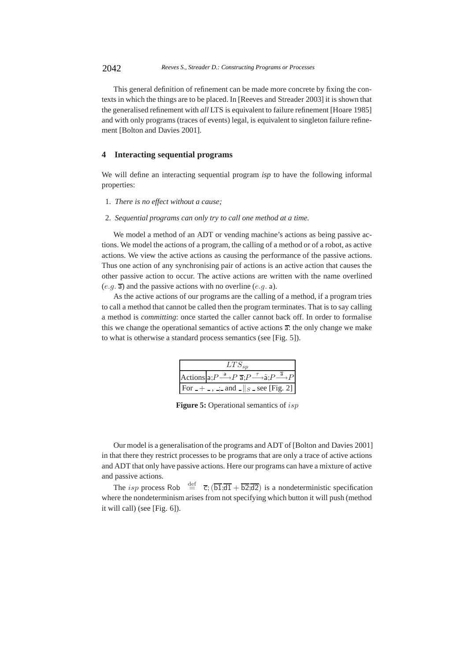This general definition of refinement can be made more concrete by fixing the contexts in which the things are to be placed. In [Reeves and Streader 2003] it is shown that the generalised refinement with *all* LTS is equivalent to failure refinement [Hoare 1985] and with only programs (traces of events) legal, is equivalent to singleton failure refinement [Bolton and Davies 2001].

# **4 Interacting sequential programs**

We will define an interacting sequential program *isp* to have the following informal properties:

- 1. *There is no effect without a cause;*
- 2. *Sequential programs can only try to call one method at a time.*

We model a method of an ADT or vending machine's actions as being passive actions. We model the actions of a program, the calling of a method or of a robot, as active actions. We view the active actions as causing the performance of the passive actions. Thus one action of any synchronising pair of actions is an active action that causes the other passive action to occur. The active actions are written with the name overlined  $(e,q,\overline{a})$  and the passive actions with no overline  $(e,q,\overline{a})$ .

As the active actions of our programs are the calling of a method, if a program tries to call a method that cannot be called then the program terminates. That is to say calling a method is *committing*: once started the caller cannot back off. In order to formalise this we change the operational semantics of active actions  $\overline{a}$ : the only change we make to what is otherwise a standard process semantics (see [Fig. 5]).

| $LTS_{sp}$ |                                                                                                             |  |
|------------|-------------------------------------------------------------------------------------------------------------|--|
|            | Actions $a: P \xrightarrow{a} P \overline{a}: P \xrightarrow{\tau} \hat{a}: P \xrightarrow{\overline{a}} P$ |  |
|            | For $- + -$ , $\therefore$ and $\lfloor s \rfloor$ see [Fig. 2]                                             |  |

**Figure 5:** Operational semantics of isp

Our model is a generalisation of the programs and ADT of [Bolton and Davies 2001] in that there they restrict processes to be programs that are only a trace of active actions and ADT that only have passive actions. Here our programs can have a mixture of active and passive actions.

The *isp* process Rob  $\stackrel{\text{def}}{=}$   $\overline{c}$ ;  $(\overline{b1}, \overline{d1} + \overline{b2}, \overline{d2})$  is a nondeterministic specification where the nondeterminism arises from not specifying which button it will push (method it will call) (see [Fig. 6]).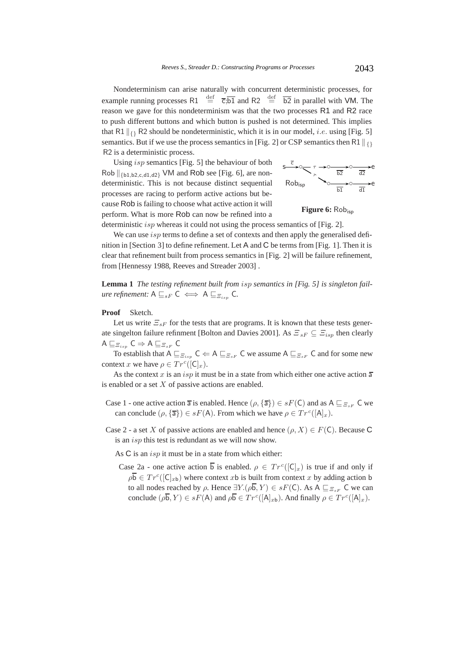Nondeterminism can arise naturally with concurrent deterministic processes, for example running processes R1  $\stackrel{\text{def}}{=} \overline{c}$ ;  $\overline{b1}$  and R2  $\stackrel{\text{def}}{=} \overline{b2}$  in parallel with VM. The reason we gave for this nondeterminism was that the two processes R1 and R2 race to push different buttons and which button is pushed is not determined. This implies that R1  $\|_{\{\}$  R2 should be nondeterministic, which it is in our model, *i.e.* using [Fig. 5] semantics. But if we use the process semantics in [Fig. 2] or CSP semantics then R1  $\parallel_{\Omega}$ R2 is a deterministic process.

Using isp semantics [Fig. 5] the behaviour of both Rob  $\left\| \{\text{b1},\text{b2},\text{c,d1},\text{d2}\}\right\}$  VM and Rob see [Fig. 6], are nondeterministic. This is not because distinct sequential processes are racing to perform active actions but because Rob is failing to choose what active action it will perform. What is more Rob can now be refined into a



Figure 6: Rob<sub>isp</sub>

deterministic *isp* whereas it could not using the process semantics of [Fig. 2].

We can use *isp* terms to define a set of contexts and then apply the generalised definition in [Section 3] to define refinement. Let A and C be terms from [Fig. 1]. Then it is clear that refinement built from process semantics in [Fig. 2] will be failure refinement, from [Hennessy 1988, Reeves and Streader 2003] .

**Lemma 1** *The testing refinement built from* isp *semantics in [Fig. 5] is singleton failure refinement:*  $A \sqsubseteq_{sF} C \iff A \sqsubseteq_{\Xi_{s}} C$ .

**Proof** Sketch.

Let us write  $\Xi_{sF}$  for the tests that are programs. It is known that these tests generate singelton failure refinment [Bolton and Davies 2001]. As  $\Xi_{sF} \subseteq \Xi_{isp}$  then clearly  $A \sqsubseteq_{\Xi_{isp}} C \Rightarrow A \sqsubseteq_{\Xi_{sF}} C$ 

To establish that  $A \sqsubseteq_{\mathcal{E}_{s,p}} C \Leftarrow A \sqsubseteq_{\mathcal{E}_{s,p}} C$  we assume  $A \sqsubseteq_{\mathcal{E}_{s,p}} C$  and for some new context x we have  $\rho \in Tr^c([C]_x)$ .

As the context x is an isp it must be in a state from which either one active action  $\overline{a}$ is enabled or a set  $X$  of passive actions are enabled.

- Case 1 one active action  $\overline{a}$  is enabled. Hence  $(\rho, {\overline{a}}) \in sF(C)$  and as  $A \sqsubseteq_{\mathcal{Z}_{sF}} C$  we can conclude  $(\rho, {\overline{\mathsf{a}}}) \in sF(\mathsf{A})$ . From which we have  $\rho \in Tr^c([\mathsf{A}]_x)$ .
- Case 2 a set X of passive actions are enabled and hence  $(\rho, X) \in F(\mathsf{C})$ . Because C is an *isp* this test is redundant as we will now show.
	- As  $C$  is an *isp* it must be in a state from which either:
	- Case 2a one active action  $\overline{b}$  is enabled.  $\rho \in Tr^{c}([C]_{x})$  is true if and only if  $\rho \overline{b} \in Tr^c([C]_{ab})$  where context x b is built from context x by adding action b to all nodes reached by  $\rho$ . Hence  $\exists Y.(\rho\overline{b}, Y) \in sF(\mathsf{C})$ . As  $A \sqsubseteq_{\Xi_{sF}} \mathsf{C}$  we can conclude  $(\rho \overline{b}, Y) \in sF(A)$  and  $\rho \overline{b} \in Tr^c([\mathsf{A}]_{x_b})$ . And finally  $\rho \in Tr^c([\mathsf{A}]_x)$ .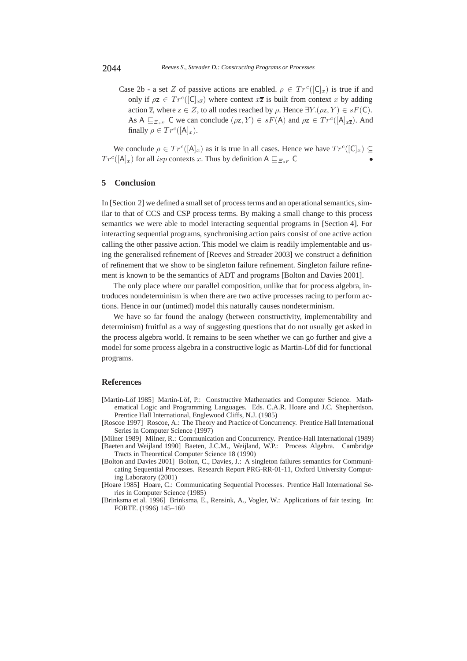Case 2b - a set Z of passive actions are enabled.  $\rho \in Tr^{c}([C]_{x})$  is true if and only if  $\rho z \in Tr^{c}([C]_{x\bar{z}})$  where context  $x\bar{z}$  is built from context x by adding action  $\overline{z}$ , where  $z \in Z$ , to all nodes reached by  $\rho$ . Hence  $\exists Y.(\rho z, Y) \in sF(\mathsf{C})$ . As A  $\sqsubseteq_{\Xi_{sF}} C$  we can conclude  $(\rho z, Y) \in sF(A)$  and  $\rho z \in Tr^{c}([\mathsf{A}]_{x\overline{z}})$ . And finally  $\rho \in Tr^c([A]_x)$ .

We conclude  $\rho \in Tr^c([A]_x)$  as it is true in all cases. Hence we have  $Tr^c([C]_x) \subseteq$  $Tr^{c}([A]_{x})$  for all *isp* contexts x. Thus by definition  $A \sqsubseteq_{\Xi_{sF}} C$ 

### **5 Conclusion**

In [Section 2] we defined a small set of process terms and an operational semantics, similar to that of CCS and CSP process terms. By making a small change to this process semantics we were able to model interacting sequential programs in [Section 4]. For interacting sequential programs, synchronising action pairs consist of one active action calling the other passive action. This model we claim is readily implementable and using the generalised refinement of [Reeves and Streader 2003] we construct a definition of refinement that we show to be singleton failure refinement. Singleton failure refinement is known to be the semantics of ADT and programs [Bolton and Davies 2001].

The only place where our parallel composition, unlike that for process algebra, introduces nondeterminism is when there are two active processes racing to perform actions. Hence in our (untimed) model this naturally causes nondeterminism.

We have so far found the analogy (between constructivity, implementability and determinism) fruitful as a way of suggesting questions that do not usually get asked in the process algebra world. It remains to be seen whether we can go further and give a model for some process algebra in a constructive logic as Martin-Löf did for functional programs.

#### **References**

- [Martin-Löf 1985] Martin-Löf, P.: Constructive Mathematics and Computer Science. Mathematical Logic and Programming Languages. Eds. C.A.R. Hoare and J.C. Shepherdson. Prentice Hall International, Englewood Cliffs, N.J. (1985)
- [Roscoe 1997] Roscoe, A.: The Theory and Practice of Concurrency. Prentice Hall International Series in Computer Science (1997)
- [Milner 1989] Milner, R.: Communication and Concurrency. Prentice-Hall International (1989) [Baeten and Weijland 1990] Baeten, J.C.M., Weijland, W.P.: Process Algebra. Cambridge Tracts in Theoretical Computer Science 18 (1990)
- [Bolton and Davies 2001] Bolton, C., Davies, J.: A singleton failures semantics for Communicating Sequential Processes. Research Report PRG-RR-01-11, Oxford University Computing Laboratory (2001)

[Hoare 1985] Hoare, C.: Communicating Sequential Processes. Prentice Hall International Series in Computer Science (1985)

[Brinksma et al. 1996] Brinksma, E., Rensink, A., Vogler, W.: Applications of fair testing. In: FORTE. (1996) 145–160